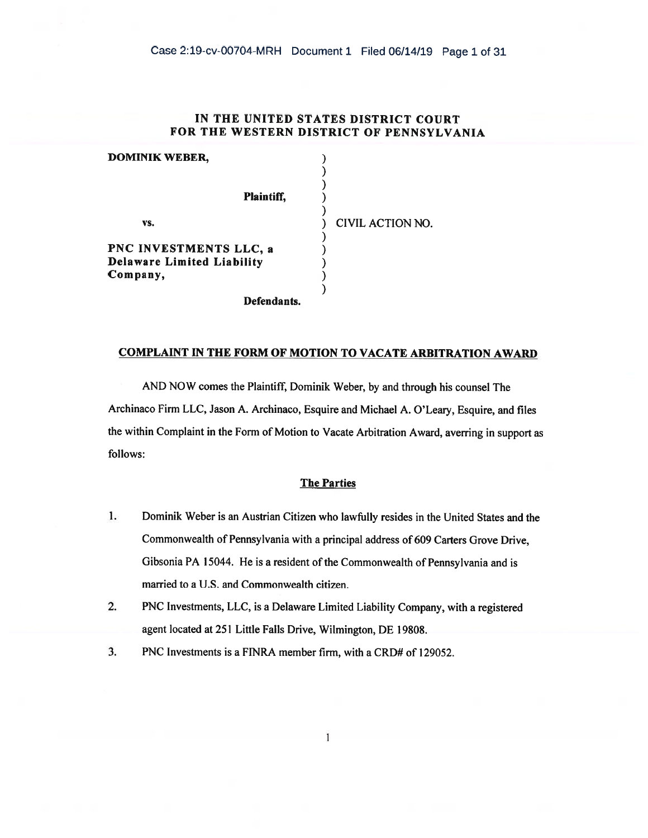# IN THE UNITED STATES DISTRICT COURT FOR THE WESTERN DISTRICT OF PENNSYLVANIA

| <b>DOMINIK WEBER,</b>             |                  |  |
|-----------------------------------|------------------|--|
| <b>Plaintiff,</b>                 |                  |  |
| VS.                               | CIVIL ACTION NO. |  |
| PNC INVESTMENTS LLC, a            |                  |  |
| <b>Delaware Limited Liability</b> |                  |  |
| Company,                          |                  |  |
|                                   |                  |  |
| Defendants.                       |                  |  |

# COMPLAINT IN THE FORM OF MOTION TO VACATE ARBITRATION AWARD

AND NOW comes the Plaintiff, Dominik Weber, by and through his counsel The Archinaco Firm LLC, Jason A. Archinaco, Esquire and Michael A. O'Leary, Esquire, and files the within Complaint in the Form of Motion to Vacate Arbitration Award, averring in support as follows:

## The Parties

- I. Dominik Weber is an Austrian Citizen who lawfully resides in the United States and the Commonwealth of Pennsylvania with a principal address of 609 Carters Grove Drive, Gibsonia PA 15044. He is a resident of the Commonwealth of Pennsylvania and is married to a U.S. and Commonwealth citizen.
- 2. PNC Investments, LLC, is a Delaware Limited Liability Company, with a registered agent located at 251 Little Falls Drive, Wilmington, DE 19808.

1

3. PNC Investments is a FINRA member firm, with a CRD# of 129052.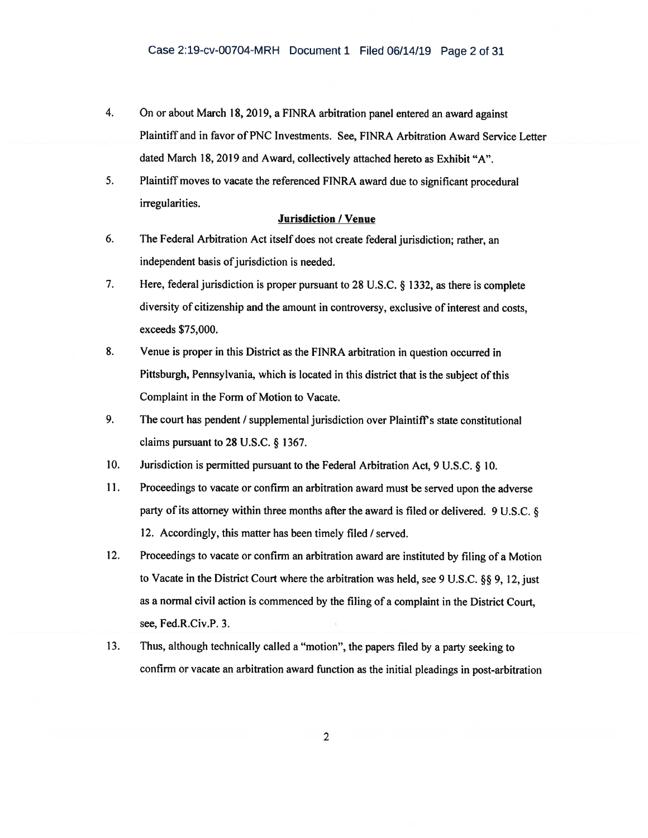- 4. On or about March 18, 2019, a FINRA arbitration panel entered an award against Plaintiff and in favor of PNC Investments. See, FINRA Arbitration Award Service Letter dated March 18, 2019 and Award, collectively attached hereto as Exhibit "A".
- 5. Plaintiff moves to vacate the referenced FINRA award due to significant procedural irregularities.

### Jurisdiction / Venue

- 6. The Federal Arbitration Act itself does not create federal jurisdiction; rather, an independent basis of jurisdiction is needed.
- 7. Here, federal jurisdiction is proper pursuant to 28 U.S.C. § 1332, as there is complete diversity of citizenship and the amount in controversy, exclusive of interest and costs, exceeds \$75,000.
- 8. Venue is proper in this District as the FINRA arbitration in question occurred in Pittsburgh, Pennsylvania, which is located in this district that is the subject of this Complaint in the Form of Motion to Vacate.
- 9. The court has pendent / supplemental jurisdiction over Plaintiff's state constitutional claims pursuant to 28 U.S.C. § 1367.
- 10. Jurisdiction is permitted pursuant to the Federal Arbitration Act, 9 U.S.C. § 10.
- 11. Proceedings to vacate or confirm an arbitration award must be served upon the adverse party of its attorney within three months after the award is filed or delivered. 9 U.S.C. § 12. Accordingly, this matter has been timely filed / served.
- 12. Proceedings to vacate or confirm an arbitration award are instituted by filing of a Motion to Vacate in the District Court where the arbitration was held, see 9 U.S.C. §§ 9, 12, just as a normal civil action is commenced by the filing of a complaint in the District Court, see, Fed.R.Civ.P. 3.
- 13. Thus, although technically called a "motion", the papers filed by a party seeking to confirm or vacate an arbitration award function as the initial pleadings in post-arbitration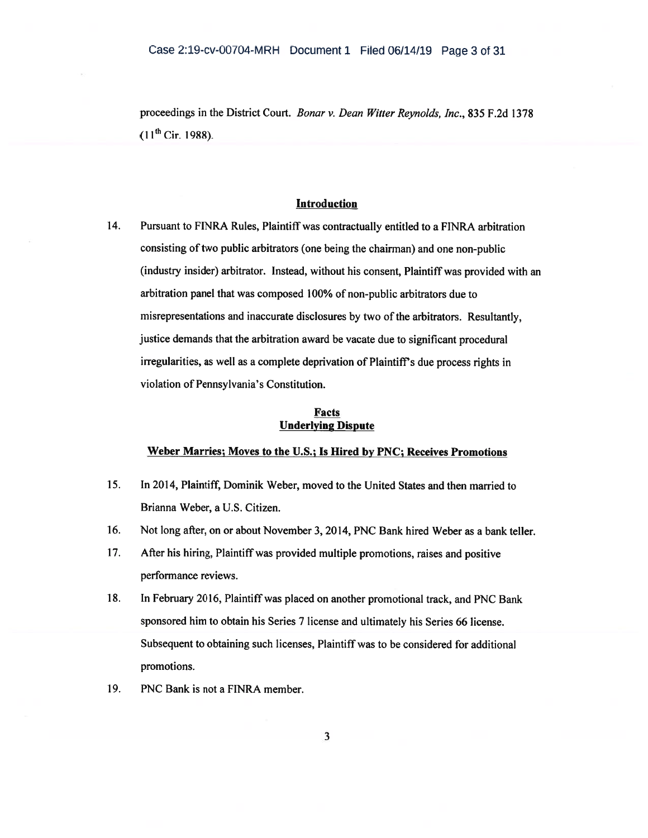proceedings in the District Court. Bonar v. Dean Witter Reynolds, Inc., 835 F.2d 1378  $(11^{th}$  Cir. 1988).

### Introduction

14. Pursuant to FINRA Rules, Plaintiff was contractually entitled to a FINRA arbitration consisting of two public arbitrators (one being the chairman) and one non-public (industry insider) arbitrator. Instead, without his consent, Plaintiff was provided with an arbitration panel that was composed 100% of non-public arbitrators due to misrepresentations and inaccurate disclosures by two of the arbitrators. Resultantly, justice demands that the arbitration award be vacate due to significant procedural irregularities, as well as a complete deprivation of Plaintiff's due process rights in violation of Pennsylvania's Constitution.

### Facts Underlying Dispute

# Weber Marries; Moves to the U.S.; Is Hired by PNC; Receives Promotions

- 15. In 2014, Plaintiff, Dominik Weber, moved to the United States and then married to Brianna Weber, a U.S. Citizen.
- 16. Not long after, on or about November 3, 2014, PNC Bank hired Weber as a bank teller.
- 17. After his hiring, Plaintiff was provided multiple promotions, raises and positive performance reviews.
- 18. In February 2016, Plaintiff was placed on another promotional track, and PNC Bank sponsored him to obtain his Series 7 license and ultimately his Series 66 license. Subsequent to obtaining such licenses, Plaintiff was to be considered for additional promotions.
- 19. PNC Bank is not a FINRA member.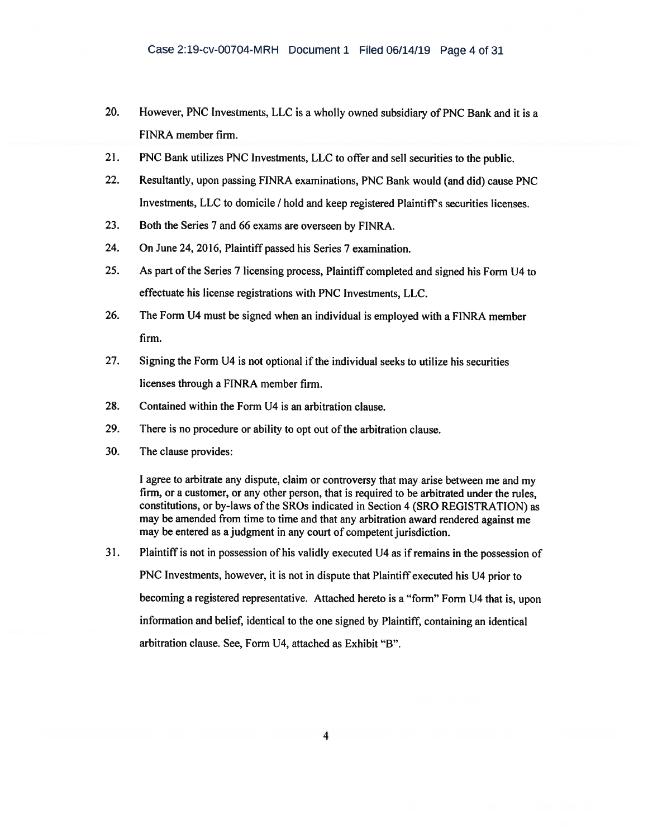- 20. However, PNC Investments, LLC is a wholly owned subsidiary of PNC Bank and it is a FINRA member firm.
- 21. PNC Bank utilizes PNC Investments, LLC to offer and sell securities to the public.
- 22. Resultantly, upon passing FINRA examinations, PNC Bank would (and did) cause PNC Investments, LLC to domicile / hold and keep registered Plaintiff's securities licenses.
- 23. Both the Series 7 and 66 exams are overseen by FINRA.
- 24. On June 24, 2016, Plaintiff passed his Series 7 examination.
- 25. As part of the Series 7 licensing process, Plaintiff completed and signed his Form U4 to effectuate his license registrations with PNC Investments, LLC.
- 26. The Form U4 must be signed when an individual is employed with a FINRA member firm.
- 27. Signing the Form U4 is not optional if the individual seeks to utilize his securities licenses through a FINRA member firm.
- 28. Contained within the Form U4 is an arbitration clause.
- 29. There is no procedure or ability to opt out of the arbitration clause.
- 30. The clause provides:

I agree to arbitrate any dispute, claim or controversy that may arise between me and my firm, or a customer, or any other person, that is required to be arbitrated under the rules, constitutions, or by-laws of the SROs indicated in Section 4 (SRO REGISTRATION) as may be amended from time to time and that any arbitration award rendered against me may be entered as a judgment in any court of competent jurisdiction.

31. Plaintiff is not in possession of his validly executed U4 as if remains in the possession of PNC Investments, however, it is not in dispute that Plaintiff executed his U4 prior to becoming a registered representative. Attached hereto is a "form" Form U4 that is, upon information and belief, identical to the one signed by Plaintiff, containing an identical arbitration clause. See, Form U4, attached as Exhibit "B".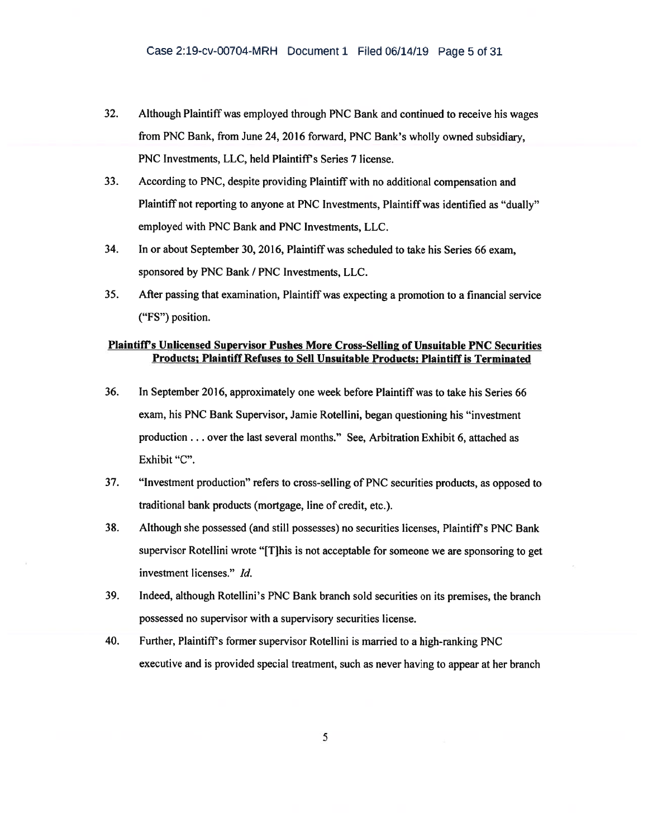- 32. Although Plaintiff was employed through PNC Bank and continued to receive his wages from PNC Bank, from June 24, 2016 forward, PNC Bank's wholly owned subsidiary, PNC Investments, LLC, held Plaintiff's Series 7 license.
- 33. According to PNC, despite providing Plaintiff with no additional compensation and Plaintiff not reporting to anyone at PNC Investments, Plaintiff was identified as "dually" employed with PNC Bank and PNC Investments, LLC.
- 34. In or about September 30, 2016, Plaintiff was scheduled to take his Series 66 exam, sponsored by PNC Bank / PNC Investments, LLC.
- 35. After passing that examination, Plaintiff was expecting a promotion to a financial service ("FS") position.

# Plaintiff's Unlicensed Supervisor Pushes More Cross-Selling of Unsuitable PNC Securities Products; Plaintiff Refuses to Sell Unsuitable Products; Plaintiff is Terminated

- 36. In September 2016, approximately one week before Plaintiff was to take his Series 66 exam, his PNC Bank Supervisor, Jamie Rotellini, began questioning his "investment production . . . over the last several months." See, Arbitration Exhibit 6, attached as Exhibit "C".
- 37. "Investment production" refers to cross-selling of PNC securities products, as opposed to traditional bank products (mortgage, line of credit, etc.).
- 38. Although she possessed (and still possesses) no securities licenses, Plaintiff's PNC Bank supervisor Rotellini wrote "[T]his is not acceptable for someone we are sponsoring to get investment licenses." Id.
- 39. Indeed, although Rotellini's PNC Bank branch sold securities on its premises, the branch possessed no supervisor with a supervisory securities license.
- 40. Further, Plaintiff's former supervisor Rotellini is married to a high-ranking PNC executive and is provided special treatment, such as never having to appear at her branch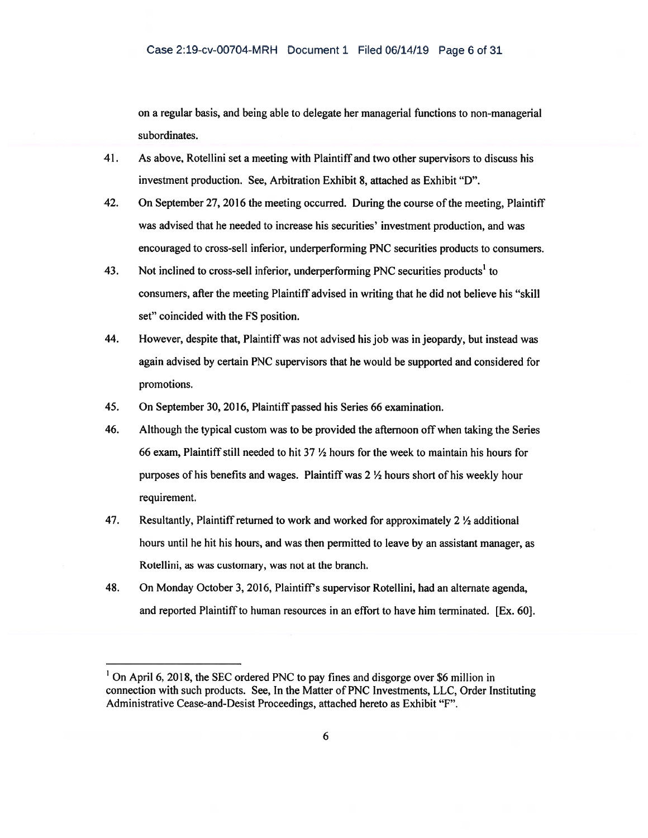on a regular basis, and being able to delegate her managerial functions to non-managerial subordinates.

- 41. As above, Rotellini set a meeting with Plaintiff and two other supervisors to discuss his investment production. See, Arbitration Exhibit 8, attached as Exhibit "D".
- 42. On September 27, 2016 the meeting occurred. During the course of the meeting, Plaintiff was advised that he needed to increase his securities' investment production, and was encouraged to cross-sell inferior, underperforming PNC securities products to consumers.
- 43. Not inclined to cross-sell inferior, underperforming PNC securities products<sup>1</sup> to consumers, after the meeting Plaintiff advised in writing that he did not believe his "skill set" coincided with the FS position.
- 44. However, despite that, Plaintiff was not advised his job was in jeopardy, but instead was again advised by certain PNC supervisors that he would be supported and considered for promotions.
- 45. On September 30, 2016, Plaintiff passed his Series 66 examination.
- 46. Although the typical custom was to be provided the afternoon off when taking the Series 66 exam, Plaintiff still needed to hit 37  $\frac{1}{2}$  hours for the week to maintain his hours for purposes of his benefits and wages. Plaintiff was  $2 \frac{1}{2}$  hours short of his weekly hour requirement.
- 47. Resultantly, Plaintiff returned to work and worked for approximately  $2 \frac{1}{2}$  additional hours until he hit his hours, and was then permitted to leave by an assistant manager, as Rotellini, as was customary, was not at the branch.
- 48. On Monday October 3, 2016, Plaintiff's supervisor Rotellini, had an alternate agenda, and reported Plaintiff to human resources in an effort to have him terminated. [Ex. 601.

<sup>&</sup>lt;sup>1</sup> On April 6, 2018, the SEC ordered PNC to pay fines and disgorge over \$6 million in connection with such products. See, In the Matter of PNC Investments, LLC, Order Instituting Administrative Cease-and-Desist Proceedings, attached hereto as Exhibit "F".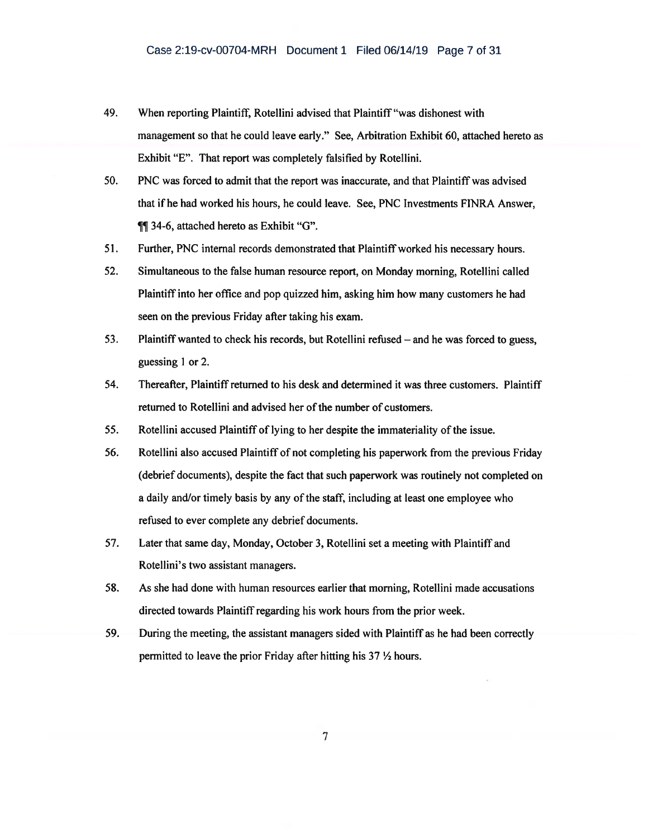- 49. When reporting Plaintiff, Rotellini advised that Plaintiff "was dishonest with management so that he could leave early." See, Arbitration Exhibit 60, attached hereto as Exhibit "E". That report was completely falsified by Rotellini.
- 50. PNC was forced to admit that the report was inaccurate, and that Plaintiff was advised that if he had worked his hours, he could leave. See, PNC Investments FINRA Answer, **11** 34-6, attached hereto as Exhibit "G".
- 51. Further, PNC internal records demonstrated that Plaintiff worked his necessary hours.
- 52. Simultaneous to the false human resource report, on Monday morning, Rotellini called Plaintiff into her office and pop quizzed him, asking him how many customers he had seen on the previous Friday after taking his exam.
- 53. Plaintiff wanted to check his records, but Rotellini refused and he was forced to guess, guessing 1 or 2.
- 54. Thereafter, Plaintiff returned to his desk and determined it was three customers. Plaintiff returned to Rotellini and advised her of the number of customers.
- 55. Rotellini accused Plaintiff of lying to her despite the immateriality of the issue.
- 56. Rotellini also accused Plaintiff of not completing his paperwork from the previous Friday (debrief documents), despite the fact that such paperwork was routinely not completed on a daily and/or timely basis by any of the staff, including at least one employee who refused to ever complete any debrief documents.
- 57. Later that same day, Monday, October 3, Rotellini set a meeting with Plaintiff and Rotellini's two assistant managers.
- 58. As she had done with human resources earlier that morning, Rotellini made accusations directed towards Plaintiff regarding his work hours from the prior week.
- 59. During the meeting, the assistant managers sided with Plaintiff as he had been correctly permitted to leave the prior Friday after hitting his  $37 \frac{1}{2}$  hours.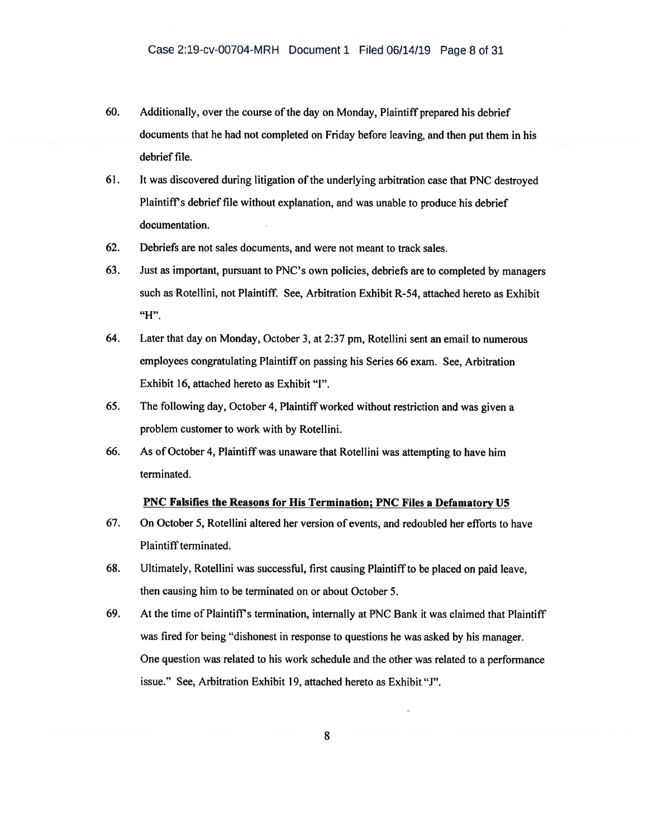- 60. Additionally, over the course of the day on Monday, Plaintiff prepared his debrief documents that he had not completed on Friday before leaving, and then put them in his debrief file.
- 61. It was discovered during litigation of the underlying arbitration case that PNC destroyed Plaintiff's debrief file without explanation, and was unable to produce his debrief documentation.
- 62. Debriefs are not sales documents, and were not meant to track sales.
- 63. Just as important, pursuant to PNC's own policies, debriefs are to completed by managers such as Rotellini, not Plaintiff. See, Arbitration Exhibit R-54, attached hereto as Exhibit "H".
- 64. Later that day on Monday, October 3, at 2:37 pm, Rotellini sent an email to numerous employees congratulating Plaintiff on passing his Series 66 exam. See, Arbitration Exhibit 16, attached hereto as Exhibit "I".
- 65. The following day, October 4, Plaintiff worked without restriction and was given a problem customer to work with by Rotellini.
- 66. As of October 4, Plaintiff was unaware that Rotellini was attempting to have him terminated.

#### PNC Falsifies the Reasons for His Termination; PNC Files a Defamatory U5

- 67. On October 5, Rotellini altered her version of events, and redoubled her efforts to have Plaintiff terminated.
- 68. Ultimately, Rotellini was successful, first causing Plaintiff to be placed on paid leave, then causing him to be terminated on or about October 5.
- 69. At the time of Plaintiff's termination, internally at PNC Bank it was claimed that Plaintiff was fired for being "dishonest in response to questions he was asked by his manager. One question was related to his work schedule and the other was related to a performance issue." See, Arbitration Exhibit 19, attached hereto as Exhibit "J".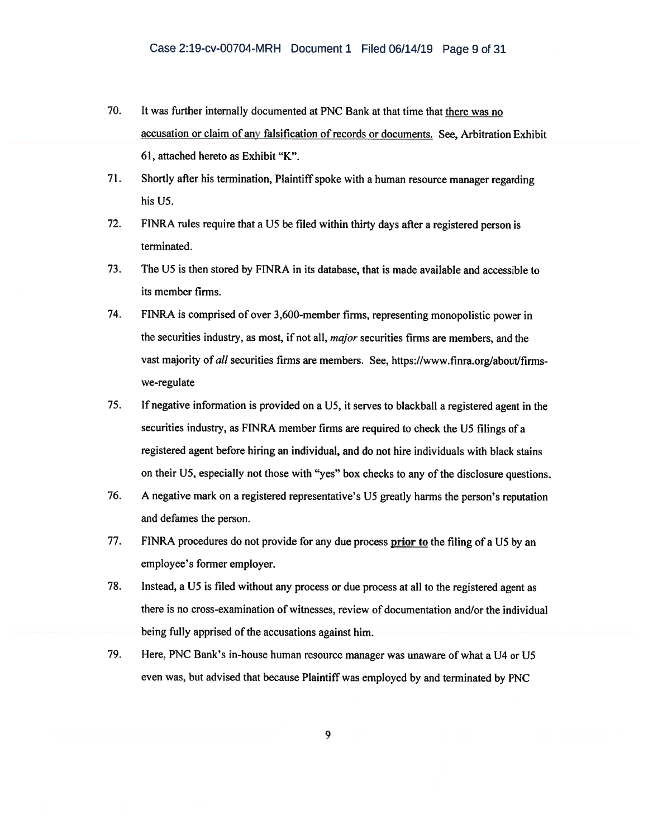- 70. It was further internally documented at PNC Bank at that time that there was no accusation or claim of any falsification of records or documents. See, Arbitration Exhibit 61, attached hereto as Exhibit "K".
- 71. Shortly after his termination, Plaintiff spoke with a human resource manager regarding his U5.
- 72. FINRA rules require that a U5 be filed within thirty days after a registered person is terminated.
- 73. The U5 is then stored by FINRA in its database, that is made available and accessible to its member firms.
- 74. FINRA is comprised of over 3,600-member firms, representing monopolistic power in the securities industry, as most, if not all, *major* securities firms are members, and the vast majority of all securities firms are members. See, https://www.finra.org/about/firmswe-regulate
- 75. If negative information is provided on a U5, it serves to blackball a registered agent in the securities industry, as FINRA member firms are required to check the U5 filings of a registered agent before hiring an individual, and do not hire individuals with black stains on their U5, especially not those with "yes" box checks to any of the disclosure questions.
- 76. A negative mark on a registered representative's U5 greatly harms the person's reputation and defames the person.
- 77. FINRA procedures do not provide for any due process prior to the filing of a U5 by an employee's former employer.
- 78. Instead, a U5 is filed without any process or due process at all to the registered agent as there is no cross-examination of witnesses, review of documentation and/or the individual being fully apprised of the accusations against him.
- 79. Here, PNC Bank's in-house human resource manager was unaware of what a U4 or U5 even was, but advised that because Plaintiff was employed by and terminated by PNC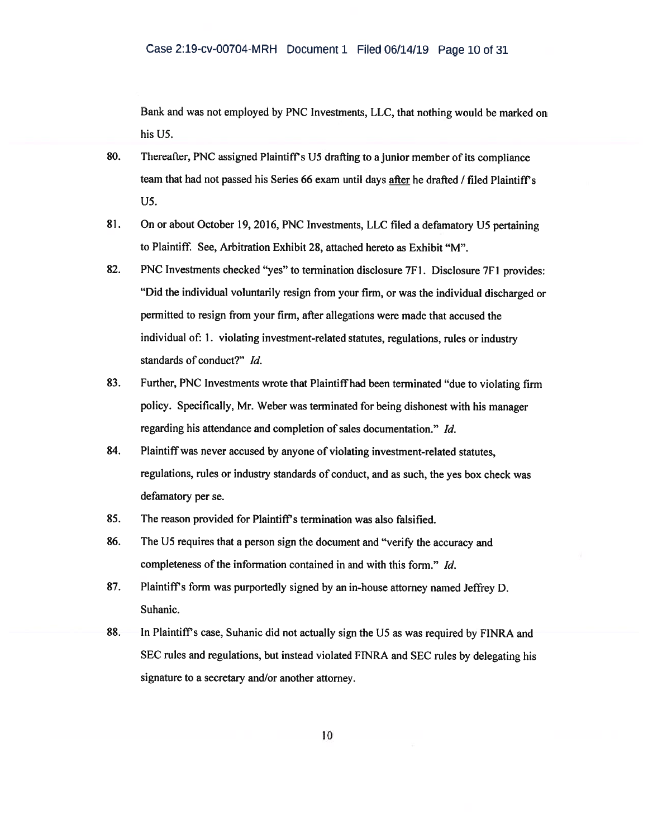Bank and was not employed by PNC Investments, LLC, that nothing would be marked on his U5.

- 80. Thereafter, PNC assigned Plaintiff's U5 drafting to a junior member of its compliance team that had not passed his Series 66 exam until days after he drafted / filed Plaintiffs U5.
- 81. On or about October 19, 2016, PNC Investments, LLC filed a defamatory U5 pertaining to Plaintiff. See, Arbitration Exhibit 28, attached hereto as Exhibit "M".
- 82. PNC Investments checked "yes" to termination disclosure 7F1. Disclosure 7F1 provides: "Did the individual voluntarily resign from your firm, or was the individual discharged or permitted to resign from your firm, after allegations were made that accused the individual of: 1. violating investment-related statutes, regulations, rules or industry standards of conduct?" Id.
- 83. Further, PNC Investments wrote that Plaintiff had been terminated "due to violating firm policy. Specifically, Mr. Weber was terminated for being dishonest with his manager regarding his attendance and completion of sales documentation." Id.
- 84. Plaintiff was never accused by anyone of violating investment-related statutes, regulations, rules or industry standards of conduct, and as such, the yes box check was defamatory per se.
- 85. The reason provided for Plaintiff's termination was also falsified.
- 86. The U5 requires that a person sign the document and "verify the accuracy and completeness of the information contained in and with this form." Id.
- 87. Plaintiff's form was purportedly signed by an in-house attorney named Jeffrey D. Suhanic.
- 88. In Plaintiffs case, Suhanic did not actually sign the U5 as was required by FINRA and SEC rules and regulations, but instead violated FINRA and SEC rules by delegating his signature to a secretary and/or another attorney.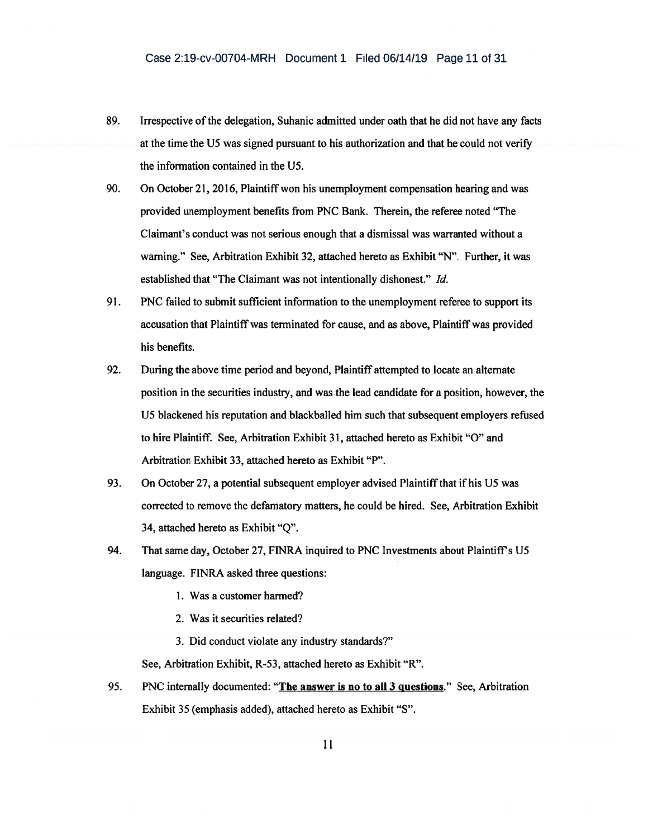- 89. Irrespective of the delegation, Suhanic admitted under oath that he did not have any facts at the time the U5 was signed pursuant to his authorization and that he could not verify the information contained in the U5.
- 90. On October 21, 2016, Plaintiff won his unemployment compensation hearing and was provided unemployment benefits from PNC Bank. Therein, the referee noted "The Claimant's conduct was not serious enough that a dismissal was warranted without a warning." See, Arbitration Exhibit 32, attached hereto as Exhibit "N". Further, it was established that "The Claimant was not intentionally dishonest." Id.
- 91. PNC failed to submit sufficient information to the unemployment referee to support its accusation that Plaintiff was terminated for cause, and as above, Plaintiff was provided his benefits.
- 92. During the above time period and beyond, Plaintiff attempted to locate an alternate position in the securities industry, and was the lead candidate for a position, however, the U5 blackened his reputation and blackballed him such that subsequent employers refused to hire Plaintiff. See, Arbitration Exhibit 31, attached hereto as Exhibit "0" and Arbitration Exhibit 33, attached hereto as Exhibit "P".
- 93. On October 27, a potential subsequent employer advised Plaintiff that if his U5 was corrected to remove the defamatory matters, he could be hired. See, Arbitration Exhibit 34, attached hereto as Exhibit "Q".
- 94. That same day, October 27, FINRA inquired to PNC Investments about Plaintiff's U5 language. FINRA asked three questions:
	- 1. Was a customer harmed?
	- 2. Was it securities related?
	- 3. Did conduct violate any industry standards?"

See, Arbitration Exhibit, R-53, attached hereto as Exhibit "R".

95. PNC internally documented: "The answer is no to all 3 questions." See, Arbitration Exhibit 35 (emphasis added), attached hereto as Exhibit "S".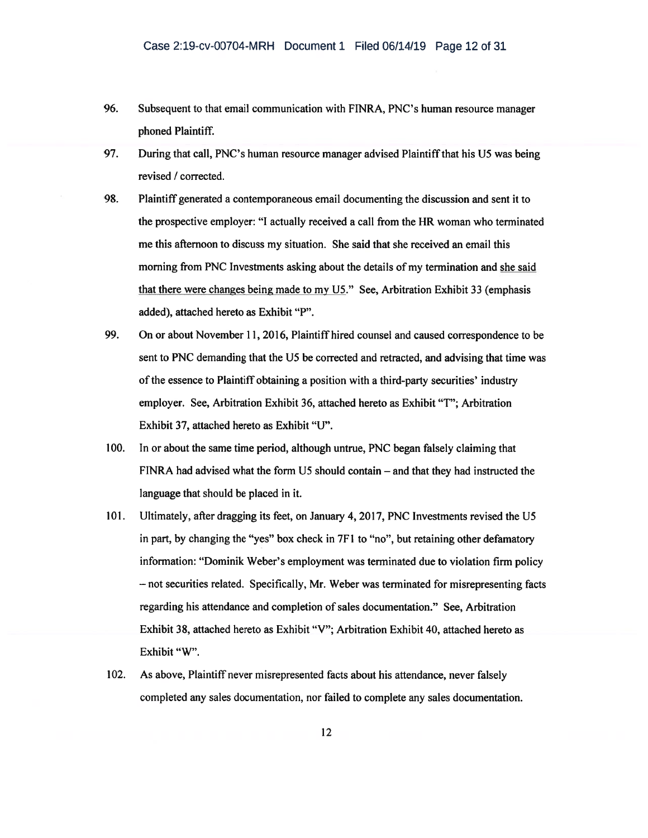- 96. Subsequent to that email communication with FINRA, PNC's human resource manager phoned Plaintiff.
- 97. During that call, PNC's human resource manager advised Plaintiff that his US was being revised / corrected.
- 98. Plaintiff generated a contemporaneous email documenting the discussion and sent it to the prospective employer: "I actually received a call from the HR woman who terminated me this afternoon to discuss my situation. She said that she received an email this morning from PNC Investments asking about the details of my termination and she said that there were changes being made to my US." See, Arbitration Exhibit 33 (emphasis added), attached hereto as Exhibit "P".
- 99. On or about November 11, 2016, Plaintiff hired counsel and caused correspondence to be sent to PNC demanding that the U5 be corrected and retracted, and advising that time was of the essence to Plaintiff obtaining a position with a third-party securities' industry employer. See, Arbitration Exhibit 36, attached hereto as Exhibit "T"; Arbitration Exhibit 37, attached hereto as Exhibit "U".
- 100. In or about the same time period, although untrue, PNC began falsely claiming that FINRA had advised what the form US should contain — and that they had instructed the language that should be placed in it.
- 101. Ultimately, after dragging its feet, on January 4, 2017, PNC Investments revised the U5 in part, by changing the "yes" box check in 7F1 to "no", but retaining other defamatory information: "Dominik Weber's employment was terminated due to violation firm policy — not securities related. Specifically, Mr. Weber was terminated for misrepresenting facts regarding his attendance and completion of sales documentation." See, Arbitration Exhibit 38, attached hereto as Exhibit "V"; Arbitration Exhibit 40, attached hereto as Exhibit "W".
- 102. As above, Plaintiff never misrepresented facts about his attendance, never falsely completed any sales documentation, nor failed to complete any sales documentation.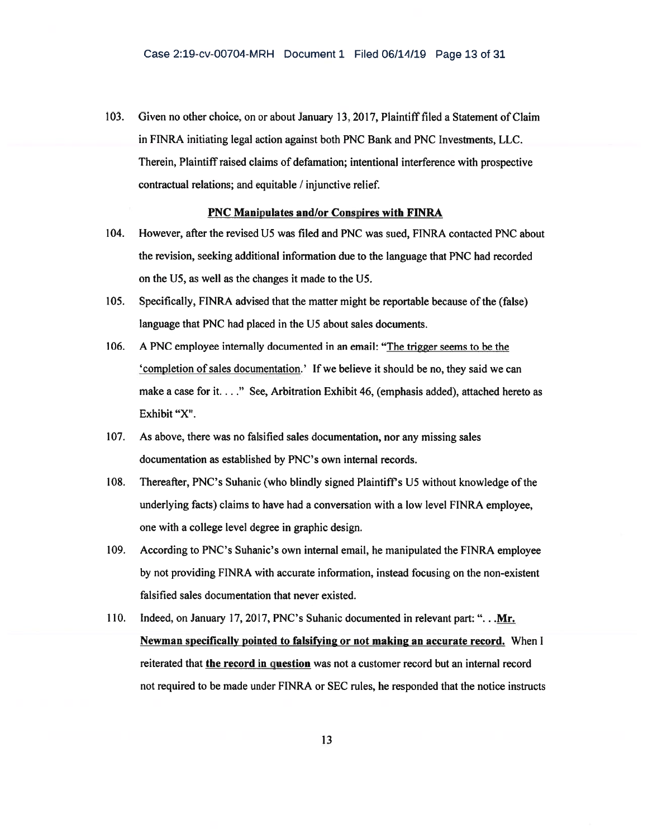103. Given no other choice, on or about January 13. 2017, Plaintiff filed a Statement of Claim in FINRA initiating legal action against both PNC Bank and PNC Investments, LLC. Therein, Plaintiff raised claims of defamation; intentional interference with prospective contractual relations; and equitable / injunctive relief.

### PNC Manipulates and/or Conspires with FINRA

- 104. However, after the revised U5 was filed and PNC was sued, FINRA contacted PNC about the revision, seeking additional information due to the language that PNC had recorded on the U5, as well as the changes it made to the U5.
- 105. Specifically, FINRA advised that the matter might be reportable because of the (false) language that PNC had placed in the U5 about sales documents.
- 106. A PNC employee internally documented in an email: "The trigger seems to be the 'completion of sales documentation.' If we believe it should be no, they said we can make a case for it. . . ." See, Arbitration Exhibit 46, (emphasis added), attached hereto as Exhibit "X".
- 107. As above, there was no falsified sales documentation, nor any missing sales documentation as established by PNC's own internal records.
- 108. Thereafter, PNC's Suhanic (who blindly signed Plaintiffs U5 without knowledge of the underlying facts) claims to have had a conversation with a low level FINRA employee, one with a college level degree in graphic design.
- 109. According to PNC's Suhanic's own internal email, he manipulated the FINRA employee by not providing FINRA with accurate information, instead focusing on the non-existent falsified sales documentation that never existed.
- 110. Indeed, on January 17, 2017, PNC's Suhanic documented in relevant part: ". . .Mr. Newman specifically pointed to falsifying or not making an accurate record. When I reiterated that the record in question was not a customer record but an internal record not required to be made under FINRA or SEC rules, he responded that the notice instructs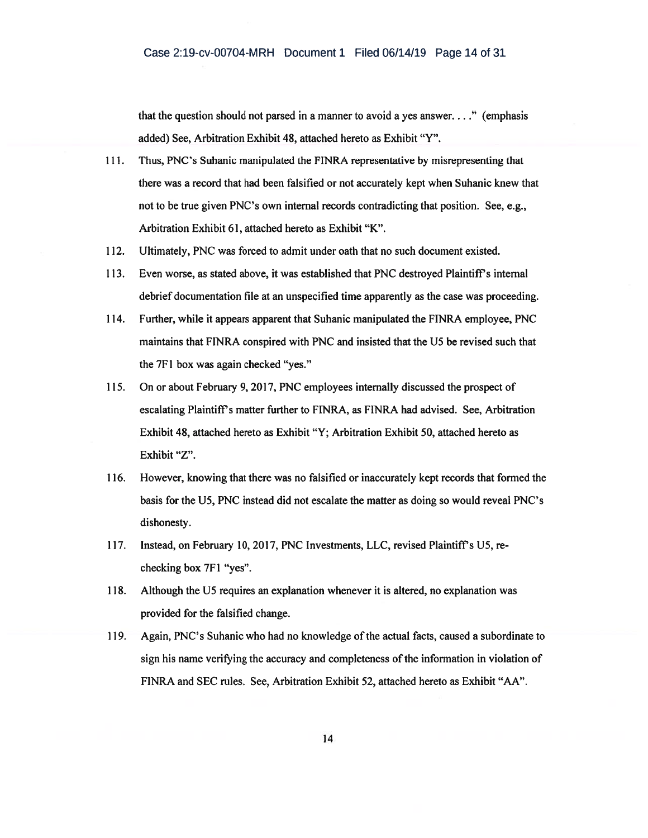that the question should not parsed in a manner to avoid a yes answer. . . ." (emphasis added) See, Arbitration Exhibit 48, attached hereto as Exhibit "Y".

- 111. Thus, PNC's Suhanic manipulated the FINRA representative by misrepresenting that there was a record that had been falsified or not accurately kept when Suhanic knew that not to be true given PNC's own internal records contradicting that position. See, e.g., Arbitration Exhibit 61, attached hereto as Exhibit "K".
- 112. Ultimately, PNC was forced to admit under oath that no such document existed.
- 113. Even worse, as stated above, it was established that PNC destroyed Plaintiffs internal debrief documentation file at an unspecified time apparently as the case was proceeding.
- 114. Further, while it appears apparent that Suhanic manipulated the FINRA employee, PNC maintains that FINRA conspired with PNC and insisted that the U5 be revised such that the 7F1 box was again checked "yes."
- 115. On or about February 9, 2017, PNC employees internally discussed the prospect of escalating Plaintiff's matter further to FINRA, as FINRA had advised. See, Arbitration Exhibit 48, attached hereto as Exhibit "Y; Arbitration Exhibit 50, attached hereto as Exhibit "Z".
- 116. However, knowing that there was no falsified or inaccurately kept records that formed the basis for the U5, PNC instead did not escalate the matter as doing so would reveal PNC's dishonesty.
- 117. Instead, on February 10, 2017, PNC Investments, LLC, revised Plaintiff's U5, rechecking box 7F1 "yes".
- 118. Although the U5 requires an explanation whenever it is altered, no explanation was provided for the falsified change.
- 119. Again, PNC's Suhanic who had no knowledge of the actual facts, caused a subordinate to sign his name verifying the accuracy and completeness of the information in violation of FINRA and SEC rules. See, Arbitration Exhibit 52, attached hereto as Exhibit "AA".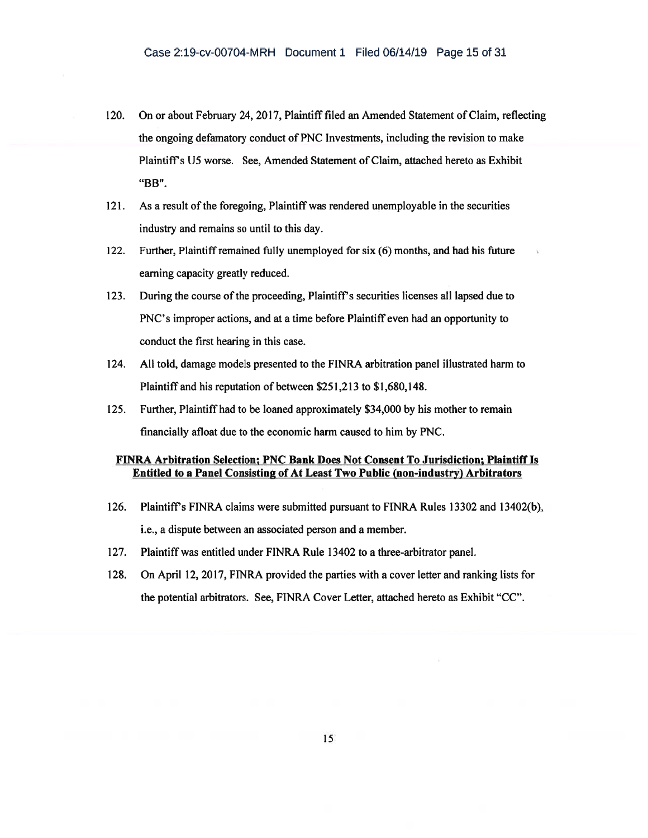- 120. On or about February 24, 2017, Plaintiff filed an Amended Statement of Claim, reflecting the ongoing defamatory conduct of PNC Investments, including the revision to make Plaintiffs U5 worse. See, Amended Statement of Claim, attached hereto as Exhibit "BB".
- 121. As a result of the foregoing, Plaintiff was rendered unemployable in the securities industry and remains so until to this day.
- 122. Further, Plaintiff remained fully unemployed for six (6) months, and had his future earning capacity greatly reduced.
- 123. During the course of the proceeding, Plaintiff's securities licenses all lapsed due to PNC's improper actions, and at a time before Plaintiff even had an opportunity to conduct the first hearing in this case.
- 124. All told, damage models presented to the FINRA arbitration panel illustrated harm to Plaintiff and his reputation of between \$251,213 to \$1,680,148.
- 125. Further, Plaintiff had to be loaned approximately \$34,000 by his mother to remain financially afloat due to the economic harm caused to him by PNC.

### FINRA Arbitration Selection; PNC Bank Does Not Consent To Jurisdiction; Plaintiff Is Entitled to a Panel Consisting of At Least Two Public (non-industry) Arbitrators

- 126. Plaintiff's FINRA claims were submitted pursuant to FINRA Rules 13302 and 13402(b). i.e., a dispute between an associated person and a member.
- 127. Plaintiff was entitled under FINRA Rule 13402 to a three-arbitrator panel.
- 128. On April 12, 2017, FINRA provided the parties with a cover letter and ranking lists for the potential arbitrators. See, FINRA Cover Letter, attached hereto as Exhibit "CC".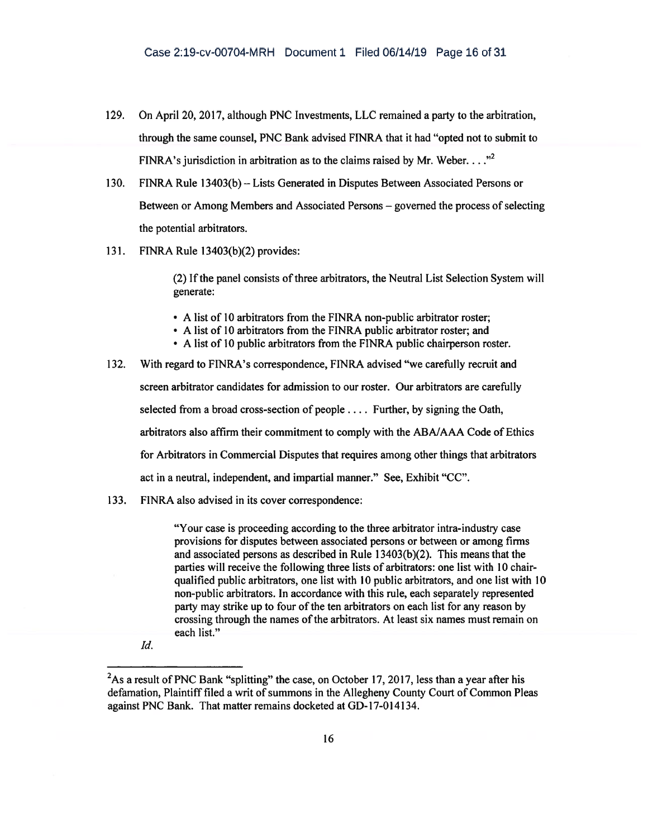- 129. On April 20, 2017, although PNC Investments, LLC remained a party to the arbitration, through the same counsel, PNC Bank advised FINRA that it had "opted not to submit to FINRA's jurisdiction in arbitration as to the claims raised by Mr. Weber.  $\dots$ <sup>2</sup>
- 130. FINRA Rule 13403(b) Lists Generated in Disputes Between Associated Persons or Between or Among Members and Associated Persons — governed the process of selecting the potential arbitrators.
- 131. FINRA Rule 13403(b)(2) provides:

(2) If the panel consists of three arbitrators, the Neutral List Selection System will generate:

- A list of 10 arbitrators from the FINRA non-public arbitrator roster;
- A list of 10 arbitrators from the FINRA public arbitrator roster; and
- A list of 10 public arbitrators from the FINRA public chairperson roster.
- 132. With regard to FINRA's correspondence, FINRA advised "we carefully recruit and screen arbitrator candidates for admission to our roster. Our arbitrators are carefully selected from a broad cross-section of people . . . . Further, by signing the Oath, arbitrators also affirm their commitment to comply with the ABA/AAA Code of Ethics for Arbitrators in Commercial Disputes that requires among other things that arbitrators act in a neutral, independent, and impartial manner." See, Exhibit "CC".
- 133. FINRA also advised in its cover correspondence:

"Your case is proceeding according to the three arbitrator intra-industry case provisions for disputes between associated persons or between or among firms and associated persons as described in Rule 13403(b)(2). This means that the parties will receive the following three lists of arbitrators: one list with 10 chairqualified public arbitrators, one list with 10 public arbitrators, and one list with 10 non-public arbitrators. In accordance with this rule, each separately represented party may strike up to four of the ten arbitrators on each list for any reason by crossing through the names of the arbitrators. At least six names must remain on each list."

Id.

<sup>&</sup>lt;sup>2</sup>As a result of PNC Bank "splitting" the case, on October 17, 2017, less than a year after his defamation, Plaintiff filed a writ of summons in the Allegheny County Court of Common Pleas against PNC Bank. That matter remains docketed at GD-17-014134.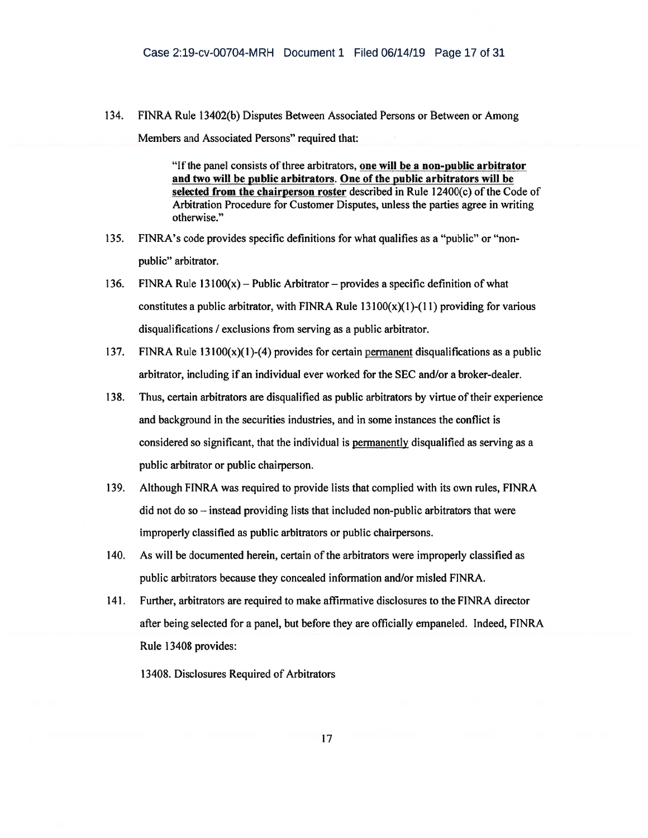134. FINRA Rule 13402(b) Disputes Between Associated Persons or Between or Among Members and Associated Persons" required that:

> "If the panel consists of three arbitrators, one will be a non-public arbitrator and two will be public arbitrators. One of the public arbitrators will be selected from the chairperson roster described in Rule 12400(c) of the Code of Arbitration Procedure for Customer Disputes, unless the parties agree in writing otherwise."

- 135. FINRA's code provides specific definitions for what qualifies as a "public" or "nonpublic" arbitrator.
- 136. FINRA Rule  $13100(x)$  Public Arbitrator provides a specific definition of what constitutes a public arbitrator, with FINRA Rule  $13100(x)(1)-(11)$  providing for various disqualifications / exclusions from serving as a public arbitrator.
- 137. FINRA Rule  $13100(x)(1)-(4)$  provides for certain permanent disqualifications as a public arbitrator, including if an individual ever worked for the SEC and/or a broker-dealer.
- 138. Thus, certain arbitrators are disqualified as public arbitrators by virtue of their experience and background in the securities industries, and in some instances the conflict is considered so significant, that the individual is permanently disqualified as serving as a public arbitrator or public chairperson.
- 139. Although FINRA was required to provide lists that complied with its own rules, FINRA did not do so — instead providing lists that included non-public arbitrators that were improperly classified as public arbitrators or public chairpersons.
- 140. As will be documented herein, certain of the arbitrators were improperly classified as public arbitrators because they concealed information and/or misled FINRA.
- 141. Further, arbitrators are required to make affirmative disclosures to the FINRA director after being selected for a panel, but before they are officially empaneled. Indeed, FINRA Rule 13408 provides:

13408. Disclosures Required of Arbitrators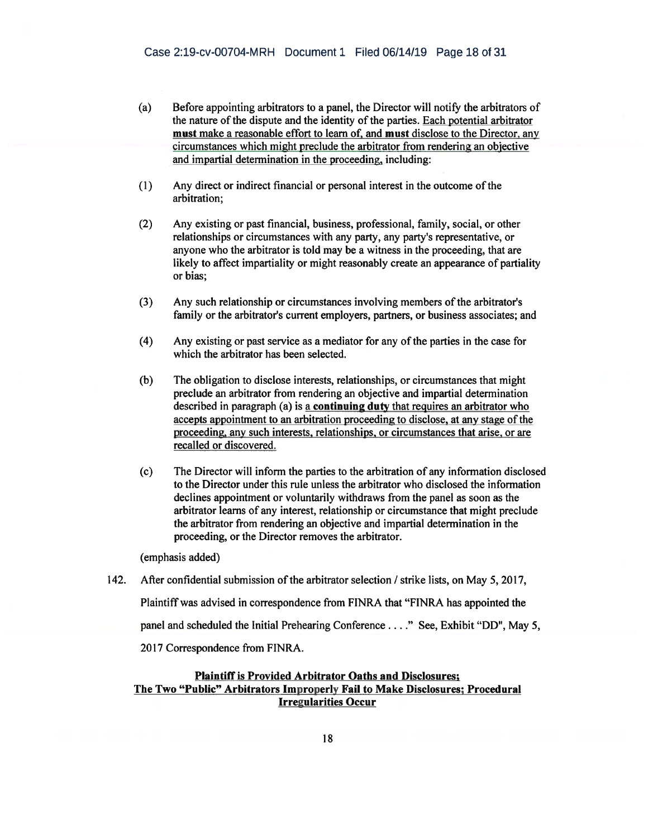- (a) Before appointing arbitrators to a panel, the Director will notify the arbitrators of the nature of the dispute and the identity of the parties. Each potential arbitrator must make a reasonable effort to learn of, and must disclose to the Director, any circumstances which might preclude the arbitrator from rendering an objective and impartial determination in the proceeding, including:
- (1) Any direct or indirect financial or personal interest in the outcome of the arbitration;
- (2) Any existing or past financial, business, professional, family, social, or other relationships or circumstances with any party, any party's representative, or anyone who the arbitrator is told may be a witness in the proceeding, that are likely to affect impartiality or might reasonably create an appearance of partiality or bias;
- (3) Any such relationship or circumstances involving members of the arbitrator's family or the arbitrator's current employers, partners, or business associates; and
- (4) Any existing or past service as a mediator for any of the parties in the case for which the arbitrator has been selected.
- (b) The obligation to disclose interests, relationships, or circumstances that might preclude an arbitrator from rendering an objective and impartial determination described in paragraph (a) is a **continuing duty** that requires an arbitrator who accepts appointment to an arbitration proceeding to disclose, at any stage of the proceeding, any such interests, relationships, or circumstances that arise, or are recalled or discovered.
- (c) The Director will inform the parties to the arbitration of any information disclosed to the Director under this rule unless the arbitrator who disclosed the information declines appointment or voluntarily withdraws from the panel as soon as the arbitrator learns of any interest, relationship or circumstance that might preclude the arbitrator from rendering an objective and impartial determination in the proceeding, or the Director removes the arbitrator.

(emphasis added)

142. After confidential submission of the arbitrator selection / strike lists, on May 5, 2017,

Plaintiff was advised in correspondence from FINRA that "FINRA has appointed the

panel and scheduled the Initial Prehearing Conference . . ." See, Exhibit "DD", May 5,

2017 Correspondence from FINRA.

# Plaintiff is Provided Arbitrator Oaths and Disclosures; The Two "Public" Arbitrators Improperly Fail to Make Disclosures; Procedural Irregularities Occur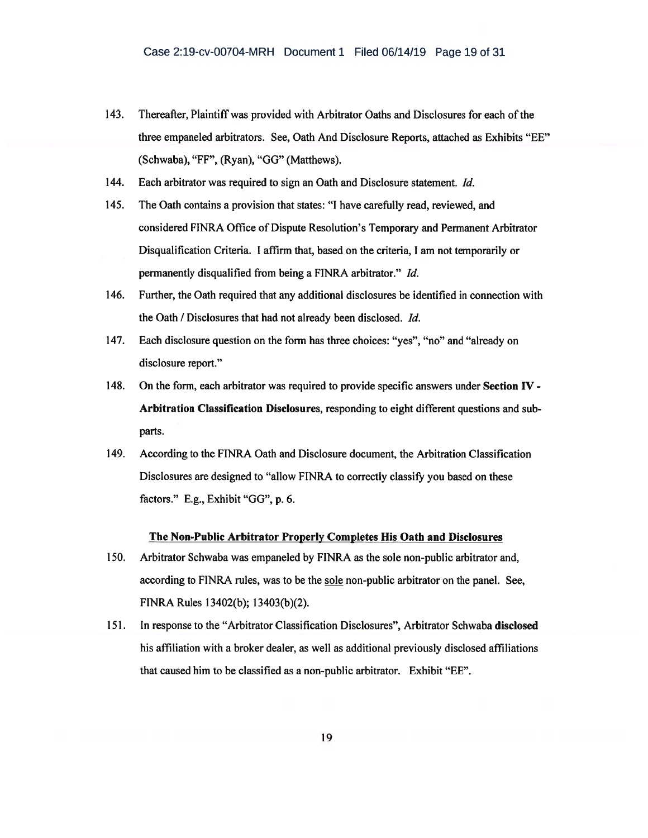- 143. Thereafter, Plaintiff was provided with Arbitrator Oaths and Disclosures for each of the three empaneled arbitrators. See, Oath And Disclosure Reports, attached as Exhibits "EE" (Schwaba), "FF", (Ryan), "GO" (Matthews).
- 144. Each arbitrator was required to sign an Oath and Disclosure statement. Id.
- 145. The Oath contains a provision that states: "I have carefully read, reviewed, and considered FINRA Office of Dispute Resolution's Temporary and Permanent Arbitrator Disqualification Criteria. I affirm that, based on the criteria, I am not temporarily or permanently disqualified from being a FINRA arbitrator." Id.
- 146. Further, the Oath required that any additional disclosures be identified in connection with the Oath / Disclosures that had not already been disclosed. Id.
- 147. Each disclosure question on the form has three choices: "yes", "no" and "already on disclosure report."
- 148. On the form, each arbitrator was required to provide specific answers under Section IV Arbitration Classification Disclosures, responding to eight different questions and subparts.
- 149. According to the FINRA Oath and Disclosure document, the Arbitration Classification Disclosures are designed to "allow FINRA to correctly classify you based on these factors." E.g., Exhibit "GO", p. 6.

### The Non-Public Arbitrator Properly Completes His Oath and Disclosures

- 150. Arbitrator Schwaba was empaneled by FINRA as the sole non-public arbitrator and, according to FINRA rules, was to be the sole non-public arbitrator on the panel. See, FINRA Rules 13402(b); 13403(b)(2).
- 151. In response to the "Arbitrator Classification Disclosures", Arbitrator Schwaba disclosed his affiliation with a broker dealer, as well as additional previously disclosed affiliations that caused him to be classified as a non-public arbitrator. Exhibit "EE".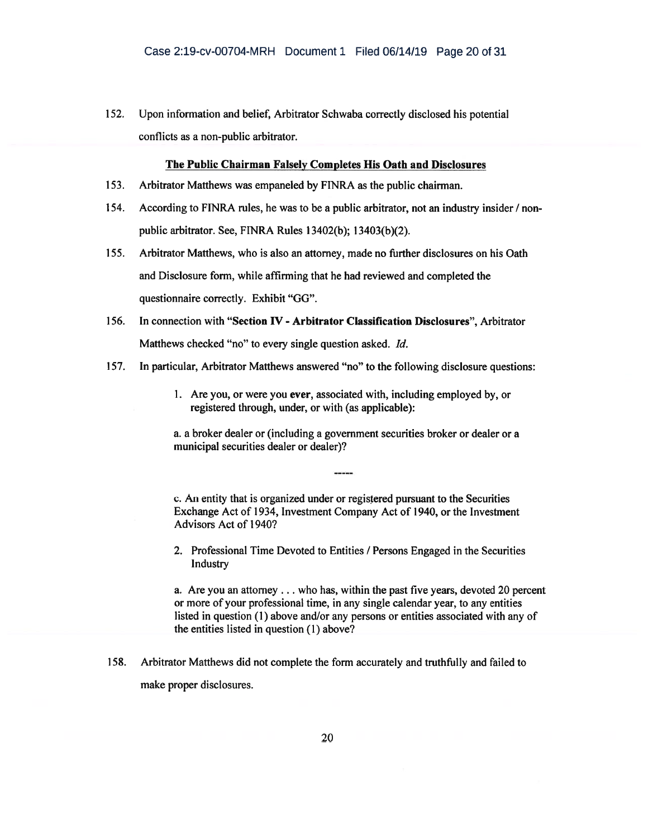152. Upon information and belief, Arbitrator Schwaba correctly disclosed his potential conflicts as a non-public arbitrator.

#### The Public Chairman Falsely Completes His Oath and Disclosures

- 153. Arbitrator Matthews was empaneled by FINRA as the public chairman.
- 154. According to FINRA rules, he was to be a public arbitrator, not an industry insider / nonpublic arbitrator. See, FINRA Rules 13402(b); 13403(b)(2).
- 155. Arbitrator Matthews, who is also an attorney, made no further disclosures on his Oath and Disclosure form, while affirming that he had reviewed and completed the questionnaire correctly. Exhibit "GO".
- 156. In connection with "Section IV Arbitrator Classification Disclosures", Arbitrator Matthews checked "no" to every single question asked. Id.
- 157. In particular, Arbitrator Matthews answered "no" to the following disclosure questions:
	- 1. Are you, or were you ever, associated with, including employed by, or registered through, under, or with (as applicable):

a. a broker dealer or (including a government securities broker or dealer or a municipal securities dealer or dealer)?

c. An entity that is organized under or registered pursuant to the Securities Exchange Act of 1934, Investment Company Act of 1940, or the Investment Advisors Act of 1940?

2. Professional Time Devoted to Entities / Persons Engaged in the Securities Industry

a. Are you an attorney . . . who has, within the past five years, devoted 20 percent or more of your professional time, in any single calendar year, to any entities listed in question (1) above and/or any persons or entities associated with any of the entities listed in question (1) above?

158. Arbitrator Matthews did not complete the form accurately and truthfully and failed to make proper disclosures.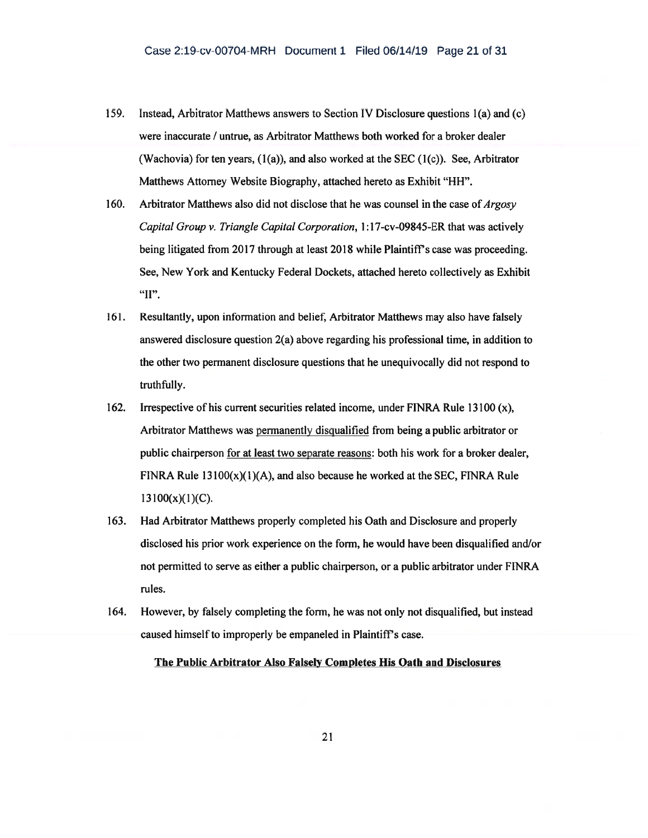- 159. Instead, Arbitrator Matthews answers to Section IV Disclosure questions 1(a) and (c) were inaccurate / untrue, as Arbitrator Matthews both worked for a broker dealer (Wachovia) for ten years,  $(1(a))$ , and also worked at the SEC  $(1(c))$ . See, Arbitrator Matthews Attorney Website Biography, attached hereto as Exhibit "HH".
- 160. Arbitrator Matthews also did not disclose that he was counsel in the case of  $Argosy$ Capital Group v. Triangle Capital Corporation, 1:17-cv-09845-ER that was actively being litigated from 2017 through at least 2018 while Plaintiff's case was proceeding. See, New York and Kentucky Federal Dockets, attached hereto collectively as Exhibit "II".
- 161. Resultantly, upon information and belief, Arbitrator Matthews may also have falsely answered disclosure question 2(a) above regarding his professional time, in addition to the other two permanent disclosure questions that he unequivocally did not respond to truthfully.
- 162. Irrespective of his current securities related income, under FINRA Rule 13100 (x), Arbitrator Matthews was permanently disqualified from being a public arbitrator or public chairperson for at least two separate reasons: both his work for a broker dealer, FINRA Rule  $13100(x)(1)(A)$ , and also because he worked at the SEC, FINRA Rule  $13100(x)(1)(C)$ .
- 163. Had Arbitrator Matthews properly completed his Oath and Disclosure and properly disclosed his prior work experience on the form, he would have been disqualified and/or not permitted to serve as either a public chairperson, or a public arbitrator under FINRA rules.
- 164. However, by falsely completing the form, he was not only not disqualified, but instead caused himself to improperly be empaneled in Plaintiff's case.

The Public Arbitrator Also Falsely Completes His Oath and Disclosures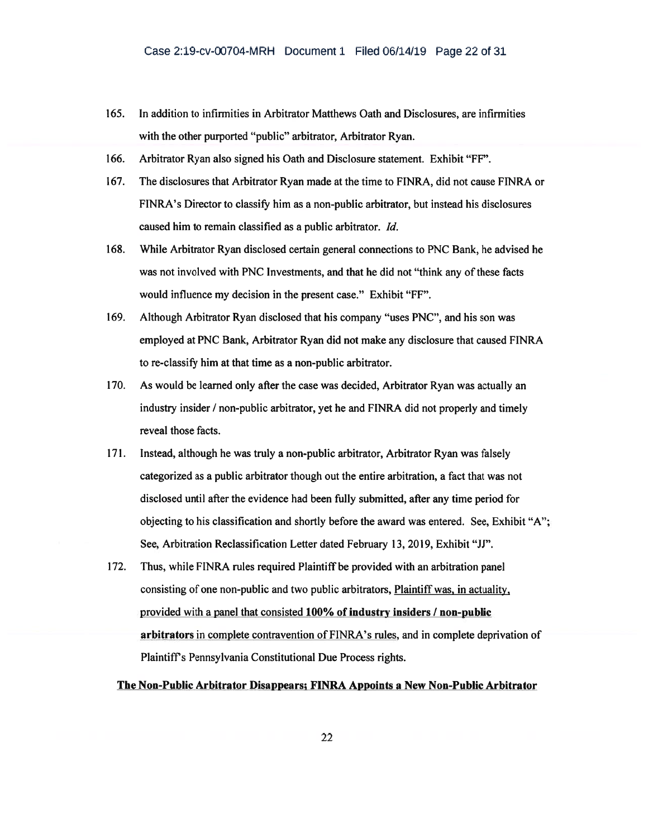- 165. In addition to infirmities in Arbitrator Matthews Oath and Disclosures, are infirmities with the other purported "public" arbitrator, Arbitrator Ryan.
- 166. Arbitrator Ryan also signed his Oath and Disclosure statement. Exhibit "FF".
- 167. The disclosures that Arbitrator Ryan made at the time to FINRA, did not cause FINRA or FINRA's Director to classify him as a non-public arbitrator, but instead his disclosures caused him to remain classified as a public arbitrator. Id.
- 168. While Arbitrator Ryan disclosed certain general connections to PNC Bank, he advised he was not involved with PNC Investments, and that he did not "think any of these facts would influence my decision in the present case." Exhibit "FF".
- 169. Although Arbitrator Ryan disclosed that his company "uses PNC", and his son was employed at PNC Bank, Arbitrator Ryan did not make any disclosure that caused FINRA to re-classify him at that time as a non-public arbitrator.
- 170. As would be learned only after the case was decided, Arbitrator Ryan was actually an industry insider / non-public arbitrator, yet he and FINRA did not properly and timely reveal those facts.
- 171. Instead, although he was truly a non-public arbitrator, Arbitrator Ryan was falsely categorized as a public arbitrator though out the entire arbitration, a fact that was not disclosed until after the evidence had been fully submitted, after any time period for objecting to his classification and shortly before the award was entered. See, Exhibit "A": See. Arbitration Reclassification Letter dated February 13, 2019, Exhibit "JJ".
- 172. Thus, while FINRA rules required Plaintiff be provided with an arbitration panel consisting of one non-public and two public arbitrators, Plaintiff was, in actuality, provided with a panel that consisted 100% of industry insiders / non-public arbitrators in complete contravention of FINRA's rules, and in complete deprivation of Plaintiff's Pennsylvania Constitutional Due Process rights.

The Non-Public Arbitrator Disappears; FINRA Appoints a New Non-Public Arbitrator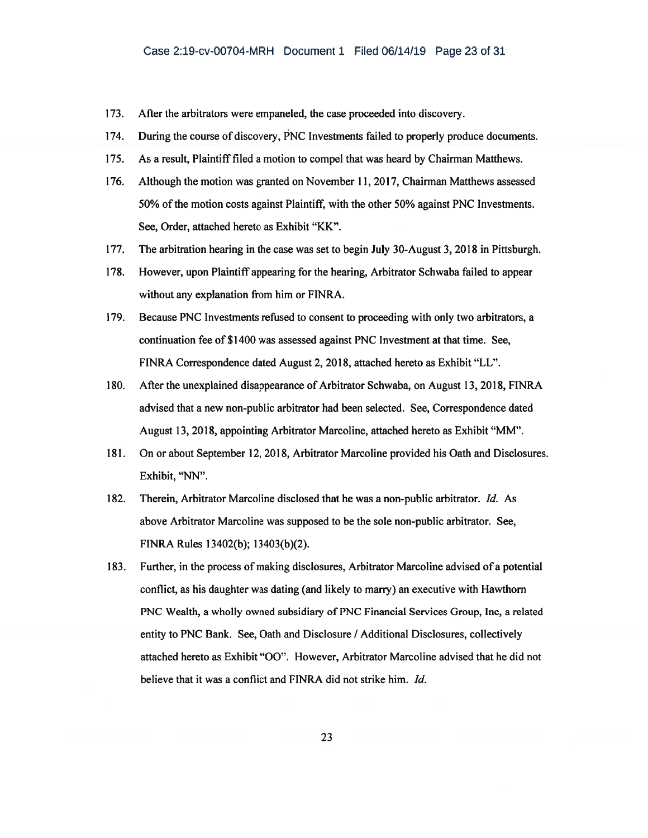- 173. After the arbitrators were empaneled, the case proceeded into discovery.
- 174. During the course of discovery, PNC Investments failed to properly produce documents.
- 175. As a result, Plaintiff filed a motion to compel that was heard by Chairman Matthews.
- 176. Although the motion was granted on November 11, 2017, Chairman Matthews assessed 50% of the motion costs against Plaintiff, with the other 50% against PNC Investments. See, Order, attached hereto as Exhibit "KK".
- 177. The arbitration hearing in the case was set to begin July 30-August 3, 2018 in Pittsburgh.
- 178. However, upon Plaintiff appearing for the hearing, Arbitrator Schwaba failed to appear without any explanation from him or FINRA.
- 179. Because PNC Investments refused to consent to proceeding with only two arbitrators, a continuation fee of \$1400 was assessed against PNC Investment at that time. See, FINRA Correspondence dated August 2, 2018, attached hereto as Exhibit "LL".
- 180. After the unexplained disappearance of Arbitrator Schwaba, on August 13, 2018, FINRA advised that a new non-public arbitrator had been selected. See, Correspondence dated August 13, 2018, appointing Arbitrator Marcoline, attached hereto as Exhibit "MM".
- 181. On or about September 12, 2018, Arbitrator Marcoline provided his Oath and Disclosures. Exhibit, "NN".
- 182. Therein, Arbitrator Marcoline disclosed that he was a non-public arbitrator. Id. As above Arbitrator Marcoline was supposed to be the sole non-public arbitrator. See, FINRA Rules 13402(b); 13403(b)(2).
- 183. Further, in the process of making disclosures, Arbitrator Marcoline advised of a potential conflict, as his daughter was dating (and likely to marry) an executive with Hawthorn PNC Wealth, a wholly owned subsidiary of PNC Financial Services Group, Inc, a related entity to PNC Bank. See, Oath and Disclosure / Additional Disclosures, collectively attached hereto as Exhibit "00". However, Arbitrator Marcoline advised that he did not believe that it was a conflict and FINRA did not strike him. Id.